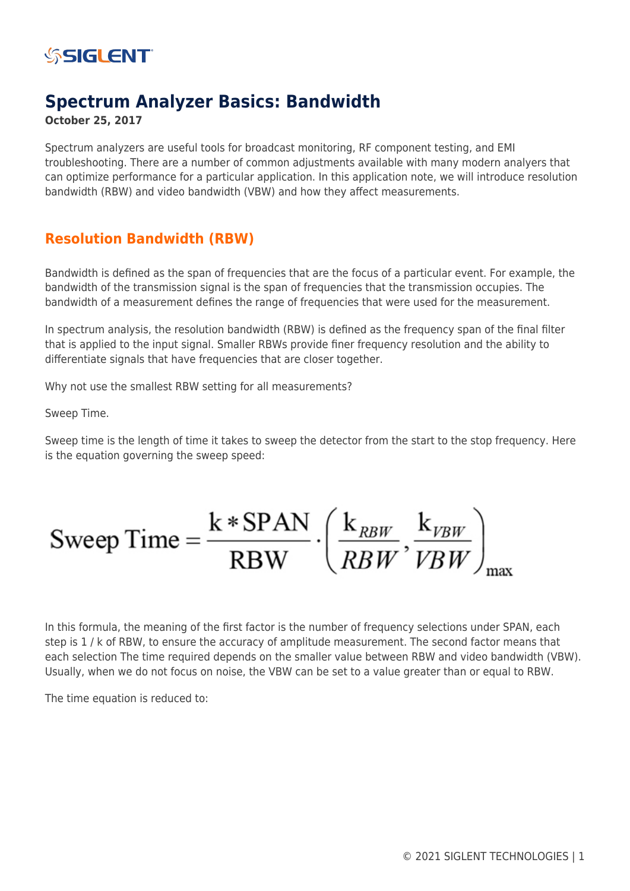

## **Spectrum Analyzer Basics: Bandwidth**

### **October 25, 2017**

Spectrum analyzers are useful tools for broadcast monitoring, RF component testing, and EMI troubleshooting. There are a number of common adjustments available with many modern analyers that can optimize performance for a particular application. In this application note, we will introduce resolution bandwidth (RBW) and video bandwidth (VBW) and how they affect measurements.

## **Resolution Bandwidth (RBW)**

Bandwidth is defined as the span of frequencies that are the focus of a particular event. For example, the bandwidth of the transmission signal is the span of frequencies that the transmission occupies. The bandwidth of a measurement defines the range of frequencies that were used for the measurement.

In spectrum analysis, the resolution bandwidth (RBW) is defined as the frequency span of the final filter that is applied to the input signal. Smaller RBWs provide finer frequency resolution and the ability to differentiate signals that have frequencies that are closer together.

Why not use the smallest RBW setting for all measurements?

Sweep Time.

Sweep time is the length of time it takes to sweep the detector from the start to the stop frequency. Here is the equation governing the sweep speed:

$$
Sweep Time = \frac{k * SPAN}{RBW} \cdot \left(\frac{k_{RBW}}{RBW}, \frac{k_{VBW}}{VBW}\right)_{max}
$$

In this formula, the meaning of the first factor is the number of frequency selections under SPAN, each step is 1 / k of RBW, to ensure the accuracy of amplitude measurement. The second factor means that each selection The time required depends on the smaller value between RBW and video bandwidth (VBW). Usually, when we do not focus on noise, the VBW can be set to a value greater than or equal to RBW.

The time equation is reduced to: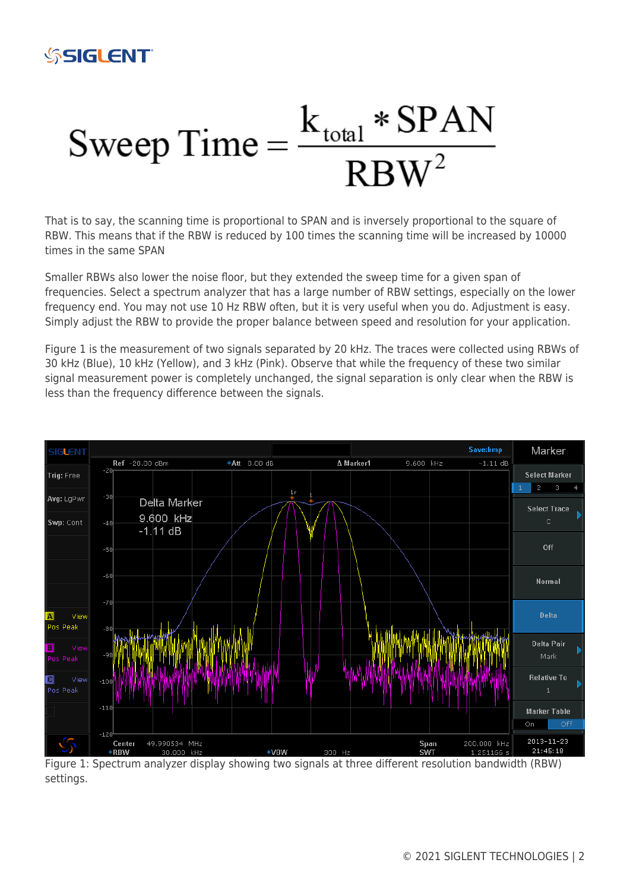

# Sweep Time  $=$   $\frac{k_{\text{total}} * \text{SPAN}}{\text{RBW}^2}$

That is to say, the scanning time is proportional to SPAN and is inversely proportional to the square of RBW. This means that if the RBW is reduced by 100 times the scanning time will be increased by 10000 times in the same SPAN

Smaller RBWs also lower the noise floor, but they extended the sweep time for a given span of frequencies. Select a spectrum analyzer that has a large number of RBW settings, especially on the lower frequency end. You may not use 10 Hz RBW often, but it is very useful when you do. Adjustment is easy. Simply adjust the RBW to provide the proper balance between speed and resolution for your application.

Figure 1 is the measurement of two signals separated by 20 kHz. The traces were collected using RBWs of 30 kHz (Blue), 10 kHz (Yellow), and 3 kHz (Pink). Observe that while the frequency of these two similar signal measurement power is completely unchanged, the signal separation is only clear when the RBW is less than the frequency difference between the signals.



Figure 1: Spectrum analyzer display showing two signals at three different resolution bandwidth (RBW) settings.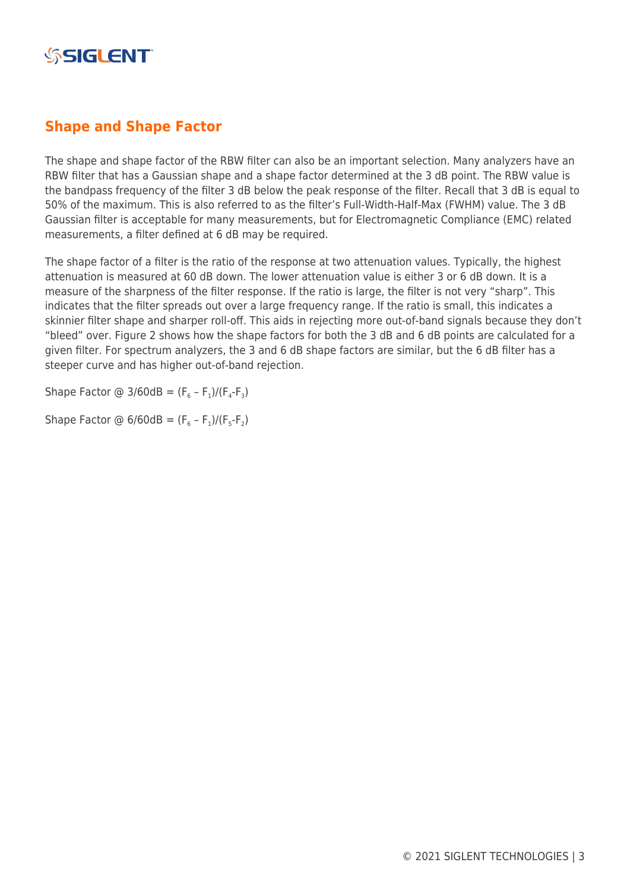

## **Shape and Shape Factor**

The shape and shape factor of the RBW filter can also be an important selection. Many analyzers have an RBW filter that has a Gaussian shape and a shape factor determined at the 3 dB point. The RBW value is the bandpass frequency of the filter 3 dB below the peak response of the filter. Recall that 3 dB is equal to 50% of the maximum. This is also referred to as the filter's Full-Width-Half-Max (FWHM) value. The 3 dB Gaussian filter is acceptable for many measurements, but for Electromagnetic Compliance (EMC) related measurements, a filter defined at 6 dB may be required.

The shape factor of a filter is the ratio of the response at two attenuation values. Typically, the highest attenuation is measured at 60 dB down. The lower attenuation value is either 3 or 6 dB down. It is a measure of the sharpness of the filter response. If the ratio is large, the filter is not very "sharp". This indicates that the filter spreads out over a large frequency range. If the ratio is small, this indicates a skinnier filter shape and sharper roll-off. This aids in rejecting more out-of-band signals because they don't "bleed" over. Figure 2 shows how the shape factors for both the 3 dB and 6 dB points are calculated for a given filter. For spectrum analyzers, the 3 and 6 dB shape factors are similar, but the 6 dB filter has a steeper curve and has higher out-of-band rejection.

Shape Factor @ 3/60dB =  $(F_6 - F_1)/(F_4 - F_3)$ 

Shape Factor @  $6/60dB = (F_6 - F_1)/(F_5 - F_2)$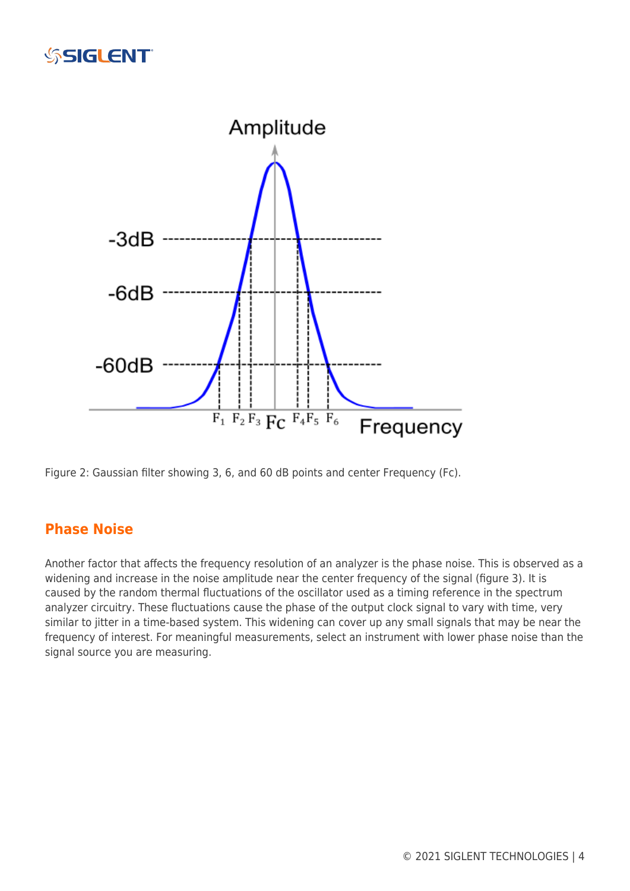# **SSIGLENT**



Figure 2: Gaussian filter showing 3, 6, and 60 dB points and center Frequency (Fc).

## **Phase Noise**

Another factor that affects the frequency resolution of an analyzer is the phase noise. This is observed as a widening and increase in the noise amplitude near the center frequency of the signal (figure 3). It is caused by the random thermal fluctuations of the oscillator used as a timing reference in the spectrum analyzer circuitry. These fluctuations cause the phase of the output clock signal to vary with time, very similar to jitter in a time-based system. This widening can cover up any small signals that may be near the frequency of interest. For meaningful measurements, select an instrument with lower phase noise than the signal source you are measuring.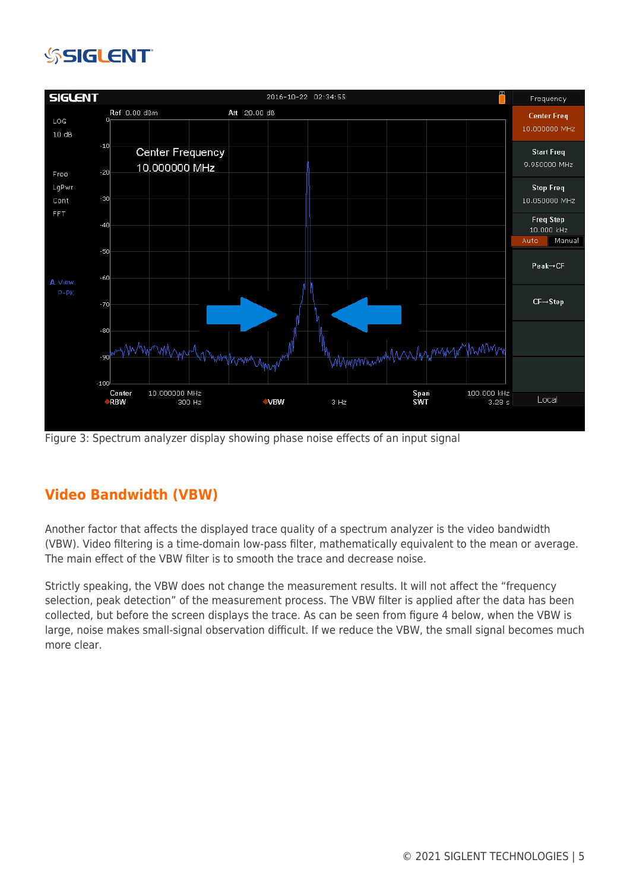# **SSIGLENT**



Figure 3: Spectrum analyzer display showing phase noise effects of an input signal

## **Video Bandwidth (VBW)**

Another factor that affects the displayed trace quality of a spectrum analyzer is the video bandwidth (VBW). Video filtering is a time-domain low-pass filter, mathematically equivalent to the mean or average. The main effect of the VBW filter is to smooth the trace and decrease noise.

Strictly speaking, the VBW does not change the measurement results. It will not affect the "frequency selection, peak detection" of the measurement process. The VBW filter is applied after the data has been collected, but before the screen displays the trace. As can be seen from figure 4 below, when the VBW is large, noise makes small-signal observation difficult. If we reduce the VBW, the small signal becomes much more clear.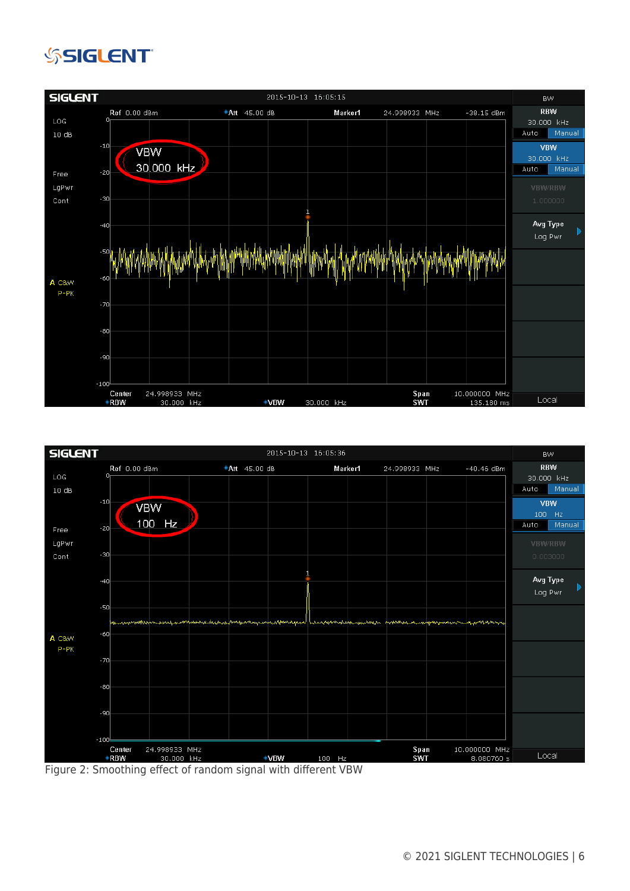# **SSIGLENT**





Figure 2: Smoothing effect of random signal with different VBW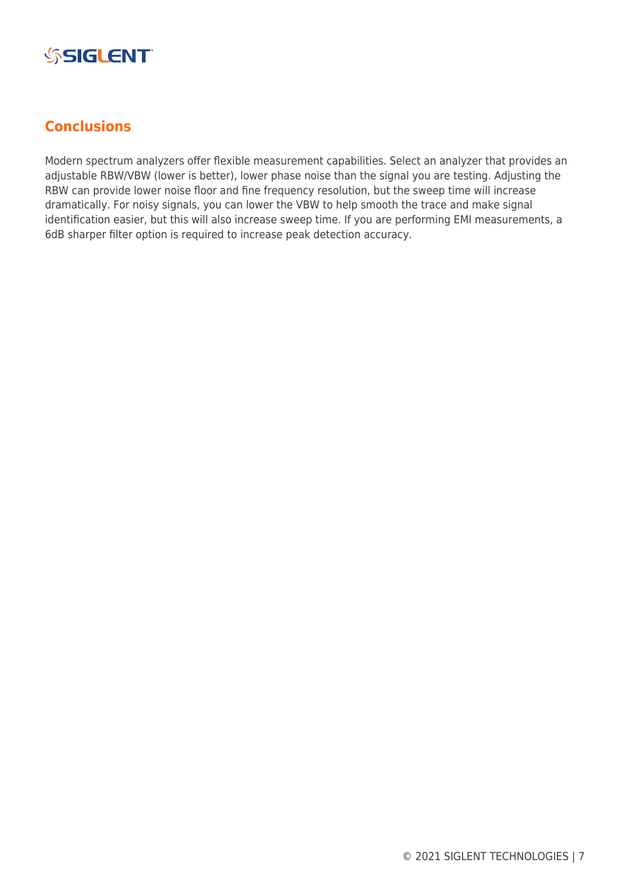

## **Conclusions**

Modern spectrum analyzers offer flexible measurement capabilities. Select an analyzer that provides an adjustable RBW/VBW (lower is better), lower phase noise than the signal you are testing. Adjusting the RBW can provide lower noise floor and fine frequency resolution, but the sweep time will increase dramatically. For noisy signals, you can lower the VBW to help smooth the trace and make signal identification easier, but this will also increase sweep time. If you are performing EMI measurements, a 6dB sharper filter option is required to increase peak detection accuracy.